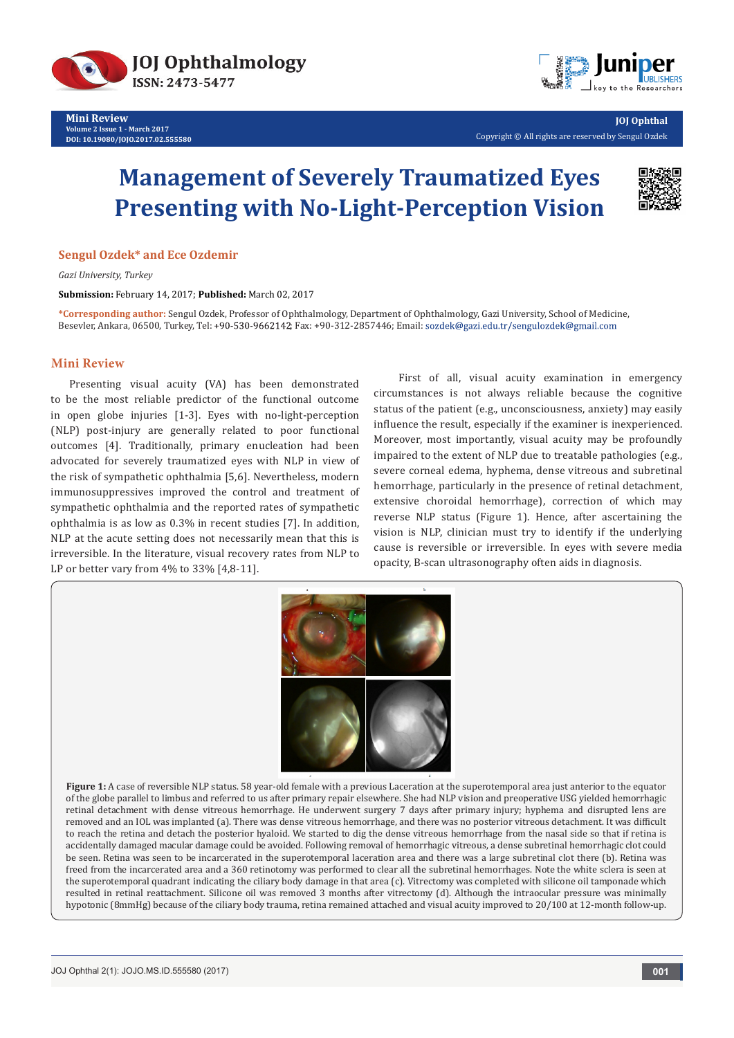



**JOJ Ophthal** Copyright © All rights are reserved by Sengul Ozdek

# **Management of Severely Traumatized Eyes Presenting with No-Light-Perception Vision**



#### **Sengul Ozdek\* and Ece Ozdemir**

*Gazi University, Turkey*

**Submission:** February 14, 2017; **Published:** March 02, 2017

**\*Corresponding author:** Sengul Ozdek, Professor of Ophthalmology, Department of Ophthalmology, Gazi University, School of Medicine, Besevler, Ankara, 06500, Turkey, Tel: +90-530-9662142; Fax: +90-312-2857446; Email: sozdek@gazi.edu.tr/sengulozdek@gmail.com

### **Mini Review**

Presenting visual acuity (VA) has been demonstrated to be the most reliable predictor of the functional outcome in open globe injuries [1-3]. Eyes with no-light-perception (NLP) post-injury are generally related to poor functional outcomes [4]. Traditionally, primary enucleation had been advocated for severely traumatized eyes with NLP in view of the risk of sympathetic ophthalmia [5,6]. Nevertheless, modern immunosuppressives improved the control and treatment of sympathetic ophthalmia and the reported rates of sympathetic ophthalmia is as low as 0.3% in recent studies [7]. In addition, NLP at the acute setting does not necessarily mean that this is irreversible. In the literature, visual recovery rates from NLP to LP or better vary from 4% to 33% [4,8-11].

 First of all, visual acuity examination in emergency circumstances is not always reliable because the cognitive status of the patient (e.g., unconsciousness, anxiety) may easily influence the result, especially if the examiner is inexperienced. Moreover, most importantly, visual acuity may be profoundly impaired to the extent of NLP due to treatable pathologies (e.g., severe corneal edema, hyphema, dense vitreous and subretinal hemorrhage, particularly in the presence of retinal detachment, extensive choroidal hemorrhage), correction of which may reverse NLP status (Figure 1). Hence, after ascertaining the vision is NLP, clinician must try to identify if the underlying cause is reversible or irreversible. In eyes with severe media opacity, B-scan ultrasonography often aids in diagnosis.



**Figure 1:** A case of reversible NLP status. 58 year-old female with a previous Laceration at the superotemporal area just anterior to the equator of the globe parallel to limbus and referred to us after primary repair elsewhere. She had NLP vision and preoperative USG yielded hemorrhagic retinal detachment with dense vitreous hemorrhage. He underwent surgery 7 days after primary injury; hyphema and disrupted lens are removed and an IOL was implanted (a). There was dense vitreous hemorrhage, and there was no posterior vitreous detachment. It was difficult to reach the retina and detach the posterior hyaloid. We started to dig the dense vitreous hemorrhage from the nasal side so that if retina is accidentally damaged macular damage could be avoided. Following removal of hemorrhagic vitreous, a dense subretinal hemorrhagic clot could be seen. Retina was seen to be incarcerated in the superotemporal laceration area and there was a large subretinal clot there (b). Retina was freed from the incarcerated area and a 360 retinotomy was performed to clear all the subretinal hemorrhages. Note the white sclera is seen at the superotemporal quadrant indicating the ciliary body damage in that area (c). Vitrectomy was completed with silicone oil tamponade which resulted in retinal reattachment. Silicone oil was removed 3 months after vitrectomy (d). Although the intraocular pressure was minimally hypotonic (8mmHg) because of the ciliary body trauma, retina remained attached and visual acuity improved to 20/100 at 12-month follow-up.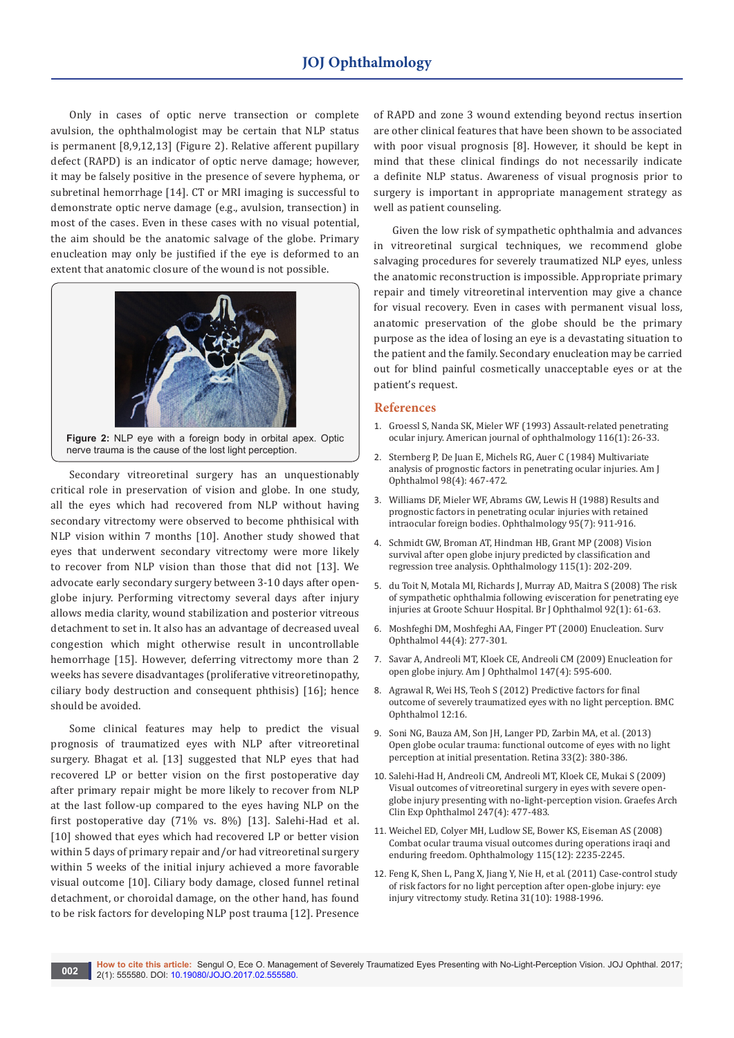Only in cases of optic nerve transection or complete avulsion, the ophthalmologist may be certain that NLP status is permanent [8,9,12,13] (Figure 2). Relative afferent pupillary defect (RAPD) is an indicator of optic nerve damage; however, it may be falsely positive in the presence of severe hyphema, or subretinal hemorrhage [14]. CT or MRI imaging is successful to demonstrate optic nerve damage (e.g., avulsion, transection) in most of the cases. Even in these cases with no visual potential, the aim should be the anatomic salvage of the globe. Primary enucleation may only be justified if the eye is deformed to an extent that anatomic closure of the wound is not possible.



**Figure 2:** NLP eye with a foreign body in orbital apex. Optic nerve trauma is the cause of the lost light perception.

Secondary vitreoretinal surgery has an unquestionably critical role in preservation of vision and globe. In one study, all the eyes which had recovered from NLP without having secondary vitrectomy were observed to become phthisical with NLP vision within 7 months [10]. Another study showed that eyes that underwent secondary vitrectomy were more likely to recover from NLP vision than those that did not [13]. We advocate early secondary surgery between 3-10 days after openglobe injury. Performing vitrectomy several days after injury allows media clarity, wound stabilization and posterior vitreous detachment to set in. It also has an advantage of decreased uveal congestion which might otherwise result in uncontrollable hemorrhage [15]. However, deferring vitrectomy more than 2 weeks has severe disadvantages (proliferative vitreoretinopathy, ciliary body destruction and consequent phthisis) [16]; hence should be avoided.

Some clinical features may help to predict the visual prognosis of traumatized eyes with NLP after vitreoretinal surgery. Bhagat et al. [13] suggested that NLP eyes that had recovered LP or better vision on the first postoperative day after primary repair might be more likely to recover from NLP at the last follow-up compared to the eyes having NLP on the first postoperative day (71% vs. 8%) [13]. Salehi-Had et al. [10] showed that eyes which had recovered LP or better vision within 5 days of primary repair and/or had vitreoretinal surgery within 5 weeks of the initial injury achieved a more favorable visual outcome [10]. Ciliary body damage, closed funnel retinal detachment, or choroidal damage, on the other hand, has found to be risk factors for developing NLP post trauma [12]. Presence

of RAPD and zone 3 wound extending beyond rectus insertion are other clinical features that have been shown to be associated with poor visual prognosis [8]. However, it should be kept in mind that these clinical findings do not necessarily indicate a definite NLP status. Awareness of visual prognosis prior to surgery is important in appropriate management strategy as well as patient counseling.

Given the low risk of sympathetic ophthalmia and advances in vitreoretinal surgical techniques, we recommend globe salvaging procedures for severely traumatized NLP eyes, unless the anatomic reconstruction is impossible. Appropriate primary repair and timely vitreoretinal intervention may give a chance for visual recovery. Even in cases with permanent visual loss, anatomic preservation of the globe should be the primary purpose as the idea of losing an eye is a devastating situation to the patient and the family. Secondary enucleation may be carried out for blind painful cosmetically unacceptable eyes or at the patient's request.

### **References**

- 1. [Groessl S, Nanda SK, Mieler WF \(1993\) Assault-related penetrating](http://www.sciencedirect.com/science/article/pii/S0002939414717398)  [ocular injury. American journal of ophthalmology 116\(1\): 26-33.](http://www.sciencedirect.com/science/article/pii/S0002939414717398)
- 2. [Sternberg P, De Juan E, Michels RG, Auer C \(1984\) Multivariate](https://www.ncbi.nlm.nih.gov/pubmed/6486221)  [analysis of prognostic factors in penetrating ocular injuries. Am J](https://www.ncbi.nlm.nih.gov/pubmed/6486221)  [Ophthalmol 98\(4\): 467-472.](https://www.ncbi.nlm.nih.gov/pubmed/6486221)
- 3. [Williams DF, Mieler WF, Abrams GW, Lewis H \(1988\) Results and](https://www.ncbi.nlm.nih.gov/pubmed/3262852)  [prognostic factors in penetrating ocular injuries with retained](https://www.ncbi.nlm.nih.gov/pubmed/3262852)  [intraocular foreign bodies. Ophthalmology 95\(7\): 911-916.](https://www.ncbi.nlm.nih.gov/pubmed/3262852)
- 4. [Schmidt GW, Broman AT, Hindman HB, Grant MP \(2008\) Vision](https://www.ncbi.nlm.nih.gov/pubmed/17588667)  [survival after open globe injury predicted by classification and](https://www.ncbi.nlm.nih.gov/pubmed/17588667)  [regression tree analysis. Ophthalmology 115\(1\): 202-209.](https://www.ncbi.nlm.nih.gov/pubmed/17588667)
- 5. [du Toit N, Motala MI, Richards J, Murray AD, Maitra S \(2008\) The risk](https://www.ncbi.nlm.nih.gov/pubmed/17591674)  [of sympathetic ophthalmia following evisceration for penetrating eye](https://www.ncbi.nlm.nih.gov/pubmed/17591674)  [injuries at Groote Schuur Hospital. Br J Ophthalmol 92\(1\): 61-63.](https://www.ncbi.nlm.nih.gov/pubmed/17591674)
- 6. [Moshfeghi DM, Moshfeghi AA, Finger PT \(2000\) Enucleation. Surv](https://www.ncbi.nlm.nih.gov/pubmed/10667436)  [Ophthalmol 44\(4\): 277-301.](https://www.ncbi.nlm.nih.gov/pubmed/10667436)
- 7. [Savar A, Andreoli MT, Kloek CE, Andreoli CM \(2009\) Enucleation for](https://www.ncbi.nlm.nih.gov/pubmed/19181305)  [open globe injury. Am J Ophthalmol 147\(4\): 595-600.](https://www.ncbi.nlm.nih.gov/pubmed/19181305)
- 8. [Agrawal R, Wei HS, Teoh S \(2012\) Predictive factors for final](https://www.ncbi.nlm.nih.gov/pubmed/22712600/)  [outcome of severely traumatized eyes with no light perception. BMC](https://www.ncbi.nlm.nih.gov/pubmed/22712600/)  [Ophthalmol 12:16.](https://www.ncbi.nlm.nih.gov/pubmed/22712600/)
- 9. [Soni NG, Bauza AM, Son JH, Langer PD, Zarbin MA, et al. \(2013\)](https://www.ncbi.nlm.nih.gov/pubmed/23026847)  [Open globe ocular trauma: functional outcome of eyes with no light](https://www.ncbi.nlm.nih.gov/pubmed/23026847)  [perception at initial presentation. Retina 33\(2\): 380-386.](https://www.ncbi.nlm.nih.gov/pubmed/23026847)
- 10. [Salehi-Had H, Andreoli CM, Andreoli MT, Kloek CE, Mukai S \(2009\)](https://www.ncbi.nlm.nih.gov/labs/articles/19172288/)  [Visual outcomes of vitreoretinal surgery in eyes with severe open](https://www.ncbi.nlm.nih.gov/labs/articles/19172288/)[globe injury presenting with no-light-perception vision. Graefes Arch](https://www.ncbi.nlm.nih.gov/labs/articles/19172288/)  [Clin Exp Ophthalmol 247\(4\): 477-483.](https://www.ncbi.nlm.nih.gov/labs/articles/19172288/)
- 11. [Weichel ED, Colyer MH, Ludlow SE, Bower KS, Eiseman AS \(2008\)](https://www.ncbi.nlm.nih.gov/pubmed/19041478)  [Combat ocular trauma visual outcomes during operations iraqi and](https://www.ncbi.nlm.nih.gov/pubmed/19041478)  [enduring freedom. Ophthalmology 115\(12\): 2235-2245.](https://www.ncbi.nlm.nih.gov/pubmed/19041478)
- 12. [Feng K, Shen L, Pang X, Jiang Y, Nie H, et al. \(2011\) Case-control study](https://www.ncbi.nlm.nih.gov/pubmed/21716166)  [of risk factors for no light perception after open-globe injury: eye](https://www.ncbi.nlm.nih.gov/pubmed/21716166)  [injury vitrectomy study. Retina 31\(10\): 1988-1996.](https://www.ncbi.nlm.nih.gov/pubmed/21716166)